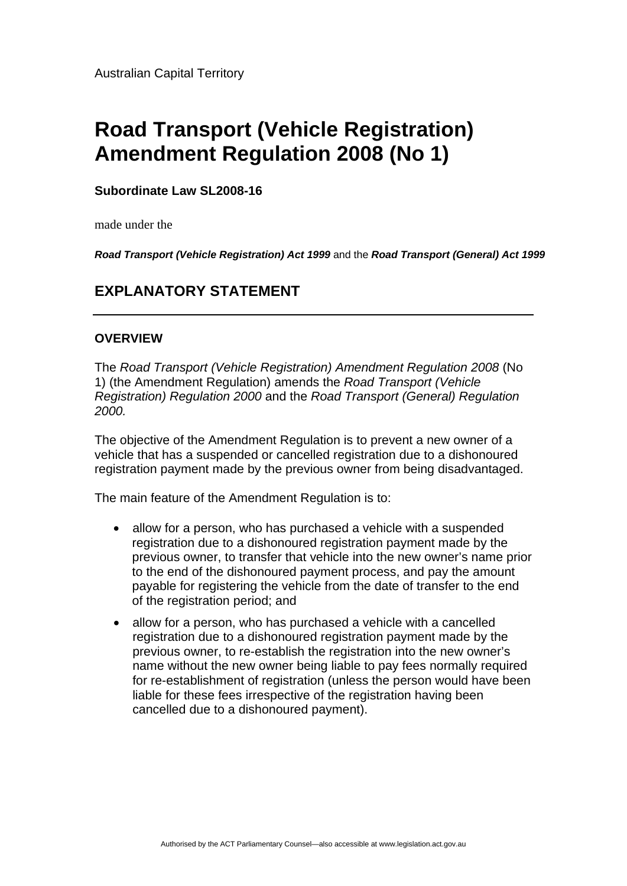# **Road Transport (Vehicle Registration) Amendment Regulation 2008 (No 1)**

## **Subordinate Law SL2008-16**

made under the

*Road Transport (Vehicle Registration) Act 1999* and the *Road Transport (General) Act 1999*

# **EXPLANATORY STATEMENT**

## **OVERVIEW**

The *Road Transport (Vehicle Registration) Amendment Regulation 2008* (No 1) (the Amendment Regulation) amends the *Road Transport (Vehicle Registration) Regulation 2000* and the *Road Transport (General) Regulation 2000.*

The objective of the Amendment Regulation is to prevent a new owner of a vehicle that has a suspended or cancelled registration due to a dishonoured registration payment made by the previous owner from being disadvantaged.

The main feature of the Amendment Regulation is to:

- allow for a person, who has purchased a vehicle with a suspended registration due to a dishonoured registration payment made by the previous owner, to transfer that vehicle into the new owner's name prior to the end of the dishonoured payment process, and pay the amount payable for registering the vehicle from the date of transfer to the end of the registration period; and
- allow for a person, who has purchased a vehicle with a cancelled registration due to a dishonoured registration payment made by the previous owner, to re-establish the registration into the new owner's name without the new owner being liable to pay fees normally required for re-establishment of registration (unless the person would have been liable for these fees irrespective of the registration having been cancelled due to a dishonoured payment).